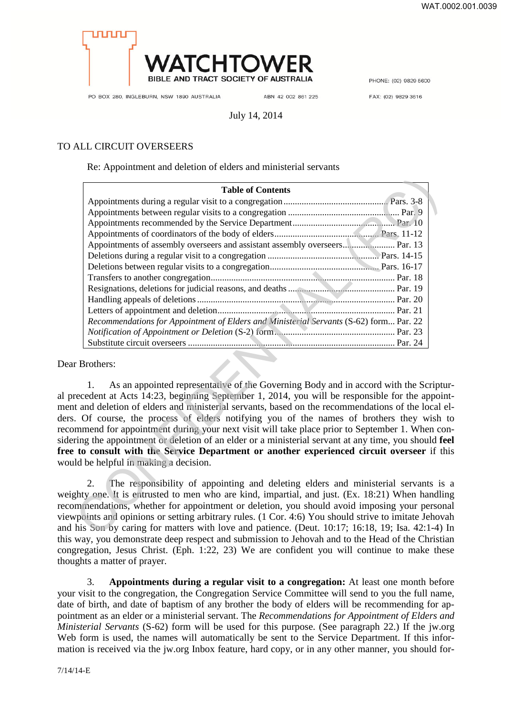

PHONE: (02) 9829 5600

PO BOX 280, INGLEBURN, NSW 1890 AUSTRALIA

ABN 42 002 861 225

FAX: (02) 9829 3616

# July 14, 2014

# TO ALL CIRCUIT OVERSEERS

Re: Appointment and deletion of elders and ministerial servants

| <b>Table of Contents</b>                                                                                                                                                                                                                                                                                                                                                                                                                                                                                                                                                                                                                                                                                             |
|----------------------------------------------------------------------------------------------------------------------------------------------------------------------------------------------------------------------------------------------------------------------------------------------------------------------------------------------------------------------------------------------------------------------------------------------------------------------------------------------------------------------------------------------------------------------------------------------------------------------------------------------------------------------------------------------------------------------|
|                                                                                                                                                                                                                                                                                                                                                                                                                                                                                                                                                                                                                                                                                                                      |
|                                                                                                                                                                                                                                                                                                                                                                                                                                                                                                                                                                                                                                                                                                                      |
|                                                                                                                                                                                                                                                                                                                                                                                                                                                                                                                                                                                                                                                                                                                      |
|                                                                                                                                                                                                                                                                                                                                                                                                                                                                                                                                                                                                                                                                                                                      |
| Appointments of assembly overseers and assistant assembly overseers Par. 13                                                                                                                                                                                                                                                                                                                                                                                                                                                                                                                                                                                                                                          |
|                                                                                                                                                                                                                                                                                                                                                                                                                                                                                                                                                                                                                                                                                                                      |
|                                                                                                                                                                                                                                                                                                                                                                                                                                                                                                                                                                                                                                                                                                                      |
|                                                                                                                                                                                                                                                                                                                                                                                                                                                                                                                                                                                                                                                                                                                      |
|                                                                                                                                                                                                                                                                                                                                                                                                                                                                                                                                                                                                                                                                                                                      |
|                                                                                                                                                                                                                                                                                                                                                                                                                                                                                                                                                                                                                                                                                                                      |
|                                                                                                                                                                                                                                                                                                                                                                                                                                                                                                                                                                                                                                                                                                                      |
| Recommendations for Appointment of Elders and Ministerial Servants (S-62) form Par. 22                                                                                                                                                                                                                                                                                                                                                                                                                                                                                                                                                                                                                               |
|                                                                                                                                                                                                                                                                                                                                                                                                                                                                                                                                                                                                                                                                                                                      |
|                                                                                                                                                                                                                                                                                                                                                                                                                                                                                                                                                                                                                                                                                                                      |
| r Brothers:                                                                                                                                                                                                                                                                                                                                                                                                                                                                                                                                                                                                                                                                                                          |
| As an appointed representative of the Governing Body and in accord with the Script<br>1.<br>recedent at Acts 14:23, beginning September 1, 2014, you will be responsible for the appoir<br>t and deletion of elders and ministerial servants, based on the recommendations of the local<br>. Of course, the process of elders notifying you of the names of brothers they wish<br>mmend for appointment during your next visit will take place prior to September 1. When co<br>ring the appointment or deletion of an elder or a ministerial servant at any time, you should f<br>to consult with the Service Department or another experienced circuit overseer if t<br>Id be helpful in making a decision.        |
| The responsibility of appointing and deleting elders and ministerial servants is<br>2.<br>ghty one. It is entrusted to men who are kind, impartial, and just. (Ex. 18:21) When handli<br>mmendations, whether for appointment or deletion, you should avoid imposing your persor<br>points and opinions or setting arbitrary rules. (1 Cor. 4:6) You should strive to imitate Jehov<br>his Son by caring for matters with love and patience. (Deut. 10:17; 16:18, 19; Isa. 42:1-4)<br>the state of the state of the state of the state of the state of the state of the state of the state of the state of the state of the state of the state of the state of the state of the state of the state of the state of t |

Dear Brothers:

1. As an appointed representative of the Governing Body and in accord with the Scriptural precedent at Acts 14:23, beginning September 1, 2014, you will be responsible for the appointment and deletion of elders and ministerial servants, based on the recommendations of the local elders. Of course, the process of elders notifying you of the names of brothers they wish to recommend for appointment during your next visit will take place prior to September 1. When considering the appointment or deletion of an elder or a ministerial servant at any time, you should **feel free to consult with the Service Department or another experienced circuit overseer** if this would be helpful in making a decision.

The responsibility of appointing and deleting elders and ministerial servants is a weighty one. It is entrusted to men who are kind, impartial, and just. (Ex. 18:21) When handling recommendations, whether for appointment or deletion, you should avoid imposing your personal viewpoints and opinions or setting arbitrary rules. (1 Cor. 4:6) You should strive to imitate Jehovah and his Son by caring for matters with love and patience. (Deut. 10:17; 16:18, 19; Isa. 42:1-4) In this way, you demonstrate deep respect and submission to Jehovah and to the Head of the Christian congregation, Jesus Christ. (Eph. 1:22, 23) We are confident you will continue to make these thoughts a matter of prayer.

3. **Appointments during a regular visit to a congregation:** At least one month before your visit to the congregation, the Congregation Service Committee will send to you the full name, date of birth, and date of baptism of any brother the body of elders will be recommending for appointment as an elder or a ministerial servant. The *Recommendations for Appointment of Elders and Ministerial Servants* (S-62) form will be used for this purpose. (See paragraph 22.) If the jw.org Web form is used, the names will automatically be sent to the Service Department. If this information is received via the jw.org Inbox feature, hard copy, or in any other manner, you should for-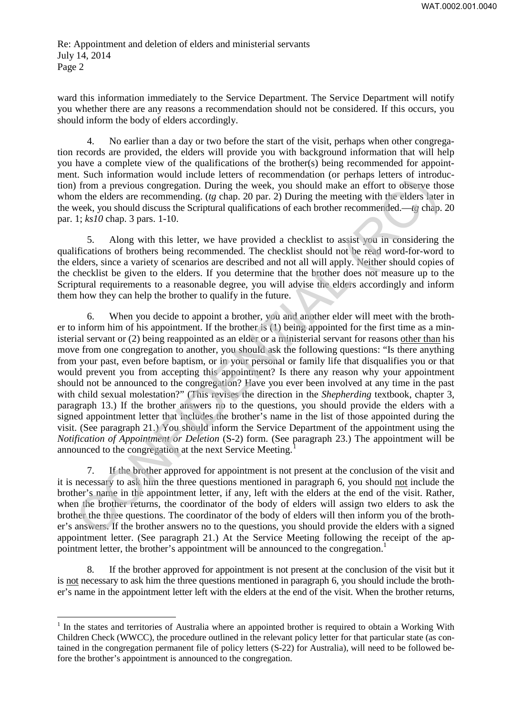ward this information immediately to the Service Department. The Service Department will notify you whether there are any reasons a recommendation should not be considered. If this occurs, you should inform the body of elders accordingly.

4. No earlier than a day or two before the start of the visit, perhaps when other congregation records are provided, the elders will provide you with background information that will help you have a complete view of the qualifications of the brother(s) being recommended for appointment. Such information would include letters of recommendation (or perhaps letters of introduction) from a previous congregation. During the week, you should make an effort to observe those whom the elders are recommending. (*tg* chap. 20 par. 2) During the meeting with the elders later in the week, you should discuss the Scriptural qualifications of each brother recommended.—*tg* chap. 20 par. 1; *ks10* chap. 3 pars. 1-10.

5. Along with this letter, we have provided a checklist to assist you in considering the qualifications of brothers being recommended. The checklist should not be read word-for-word to the elders, since a variety of scenarios are described and not all will apply. Neither should copies of the checklist be given to the elders. If you determine that the brother does not measure up to the Scriptural requirements to a reasonable degree, you will advise the elders accordingly and inform them how they can help the brother to qualify in the future.

6. When you decide to appoint a brother, you and another elder will meet with the brother to inform him of his appointment. If the brother is (1) being appointed for the first time as a ministerial servant or (2) being reappointed as an elder or a ministerial servant for reasons other than his move from one congregation to another, you should ask the following questions: "Is there anything from your past, even before baptism, or in your personal or family life that disqualifies you or that would prevent you from accepting this appointment? Is there any reason why your appointment should not be announced to the congregation? Have you ever been involved at any time in the past with child sexual molestation?" (This revises the direction in the *Shepherding* textbook, chapter 3, paragraph 13.) If the brother answers no to the questions, you should provide the elders with a signed appointment letter that includes the brother's name in the list of those appointed during the visit. (See paragraph 21.) You should inform the Service Department of the appointment using the *Notification of Appointment or Deletion* (S-2) form. (See paragraph 23.) The appointment will be announced to the congregation at the next Service Meeting.<sup>1</sup> r one elsens are recommentained as a elsens and a for the system and the search of the system of the betters are the better in the better line of the better in the better line of the better in the better line of the bette

7. If the brother approved for appointment is not present at the conclusion of the visit and it is necessary to ask him the three questions mentioned in paragraph 6, you should not include the brother's name in the appointment letter, if any, left with the elders at the end of the visit. Rather, when the brother returns, the coordinator of the body of elders will assign two elders to ask the brother the three questions. The coordinator of the body of elders will then inform you of the brother's answers. If the brother answers no to the questions, you should provide the elders with a signed appointment letter. (See paragraph 21.) At the Service Meeting following the receipt of the appointment letter, the brother's appointment will be announced to the congregation.<sup>1</sup>

8. If the brother approved for appointment is not present at the conclusion of the visit but it is not necessary to ask him the three questions mentioned in paragraph 6, you should include the brother's name in the appointment letter left with the elders at the end of the visit. When the brother returns,

 $\overline{a}$ 

<sup>&</sup>lt;sup>1</sup> In the states and territories of Australia where an appointed brother is required to obtain a Working With Children Check (WWCC), the procedure outlined in the relevant policy letter for that particular state (as contained in the congregation permanent file of policy letters (S-22) for Australia), will need to be followed before the brother's appointment is announced to the congregation.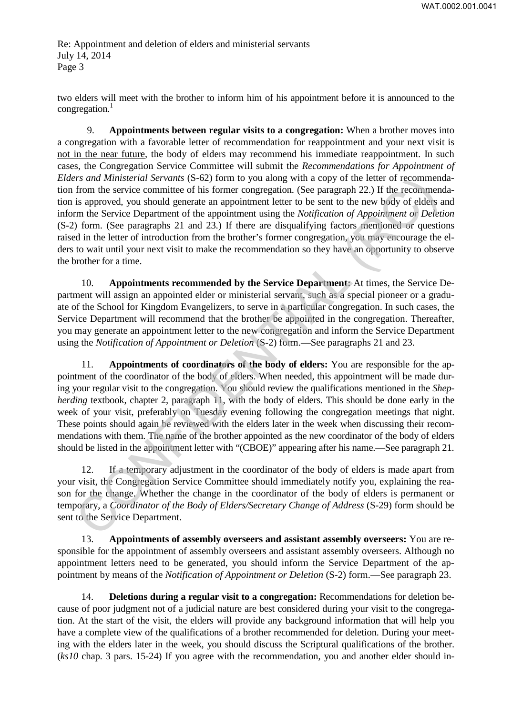two elders will meet with the brother to inform him of his appointment before it is announced to the congregation. $<sup>1</sup>$ </sup>

9. **Appointments between regular visits to a congregation:** When a brother moves into a congregation with a favorable letter of recommendation for reappointment and your next visit is not in the near future, the body of elders may recommend his immediate reappointment. In such cases, the Congregation Service Committee will submit the *Recommendations for Appointment of Elders and Ministerial Servants* (S-62) form to you along with a copy of the letter of recommendation from the service committee of his former congregation. (See paragraph 22.) If the recommendation is approved, you should generate an appointment letter to be sent to the new body of elders and inform the Service Department of the appointment using the *Notification of Appointment or Deletion* (S-2) form. (See paragraphs 21 and 23.) If there are disqualifying factors mentioned or questions raised in the letter of introduction from the brother's former congregation, you may encourage the elders to wait until your next visit to make the recommendation so they have an opportunity to observe the brother for a time.

10. **Appointments recommended by the Service Department:** At times, the Service Department will assign an appointed elder or ministerial servant, such as a special pioneer or a graduate of the School for Kingdom Evangelizers, to serve in a particular congregation. In such cases, the Service Department will recommend that the brother be appointed in the congregation. Thereafter, you may generate an appointment letter to the new congregation and inform the Service Department using the *Notification of Appointment or Deletion* (S-2) form.—See paragraphs 21 and 23.

11. **Appointments of coordinators of the body of elders:** You are responsible for the appointment of the coordinator of the body of elders. When needed, this appointment will be made during your regular visit to the congregation. You should review the qualifications mentioned in the *Shepherding* textbook, chapter 2, paragraph 11, with the body of elders. This should be done early in the week of your visit, preferably on Tuesday evening following the congregation meetings that night. These points should again be reviewed with the elders later in the week when discussing their recommendations with them. The name of the brother appointed as the new coordinator of the body of elders should be listed in the appointment letter with "(CBOE)" appearing after his name.—See paragraph 21. ers and Muniterial Servantis (S-52) form to you along with a copy of the letter of recommends<br>from the service committee of his former congregation. (See paragraph 22.) If the recomments approved, you should generate an a

12. If a temporary adjustment in the coordinator of the body of elders is made apart from your visit, the Congregation Service Committee should immediately notify you, explaining the reason for the change. Whether the change in the coordinator of the body of elders is permanent or temporary, a *Coordinator of the Body of Elders/Secretary Change of Address* (S-29) form should be sent to the Service Department.

13. **Appointments of assembly overseers and assistant assembly overseers:** You are responsible for the appointment of assembly overseers and assistant assembly overseers. Although no appointment letters need to be generated, you should inform the Service Department of the appointment by means of the *Notification of Appointment or Deletion* (S-2) form.—See paragraph 23.

14. **Deletions during a regular visit to a congregation:** Recommendations for deletion because of poor judgment not of a judicial nature are best considered during your visit to the congregation. At the start of the visit, the elders will provide any background information that will help you have a complete view of the qualifications of a brother recommended for deletion. During your meeting with the elders later in the week, you should discuss the Scriptural qualifications of the brother. (*ks10* chap. 3 pars. 15-24) If you agree with the recommendation, you and another elder should in-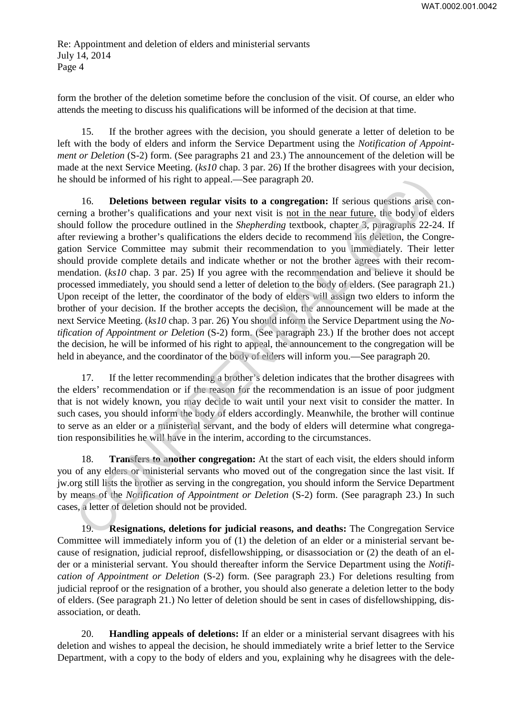form the brother of the deletion sometime before the conclusion of the visit. Of course, an elder who attends the meeting to discuss his qualifications will be informed of the decision at that time.

15. If the brother agrees with the decision, you should generate a letter of deletion to be left with the body of elders and inform the Service Department using the *Notification of Appointment or Deletion* (S-2) form. (See paragraphs 21 and 23.) The announcement of the deletion will be made at the next Service Meeting. (*ks10* chap. 3 par. 26) If the brother disagrees with your decision, he should be informed of his right to appeal.—See paragraph 20.

16. **Deletions between regular visits to a congregation:** If serious questions arise concerning a brother's qualifications and your next visit is not in the near future, the body of elders should follow the procedure outlined in the *Shepherding* textbook, chapter 3, paragraphs 22-24. If after reviewing a brother's qualifications the elders decide to recommend his deletion, the Congregation Service Committee may submit their recommendation to you immediately. Their letter should provide complete details and indicate whether or not the brother agrees with their recommendation. (*ks10* chap. 3 par. 25) If you agree with the recommendation and believe it should be processed immediately, you should send a letter of deletion to the body of elders. (See paragraph 21.) Upon receipt of the letter, the coordinator of the body of elders will assign two elders to inform the brother of your decision. If the brother accepts the decision, the announcement will be made at the next Service Meeting. (*ks10* chap. 3 par. 26) You should inform the Service Department using the *Notification of Appointment or Deletion* (S-2) form. (See paragraph 23.) If the brother does not accept the decision, he will be informed of his right to appeal, the announcement to the congregation will be held in abeyance, and the coordinator of the body of elders will inform you.—See paragraph 20. hould be informed of his right to appeal.—See paragraph 20.<br>
16. **Deteions between regular visits to a congregation:** If serious questions arise conding a brother's qualifications and your next visit is <u>not in the near f</u>

17. If the letter recommending a brother's deletion indicates that the brother disagrees with the elders' recommendation or if the reason for the recommendation is an issue of poor judgment that is not widely known, you may decide to wait until your next visit to consider the matter. In such cases, you should inform the body of elders accordingly. Meanwhile, the brother will continue to serve as an elder or a ministerial servant, and the body of elders will determine what congregation responsibilities he will have in the interim, according to the circumstances.

18. **Transfers to another congregation:** At the start of each visit, the elders should inform you of any elders or ministerial servants who moved out of the congregation since the last visit. If jw.org still lists the brother as serving in the congregation, you should inform the Service Department by means of the *Notification of Appointment or Deletion* (S-2) form. (See paragraph 23.) In such cases, a letter of deletion should not be provided.

19. **Resignations, deletions for judicial reasons, and deaths:** The Congregation Service Committee will immediately inform you of (1) the deletion of an elder or a ministerial servant because of resignation, judicial reproof, disfellowshipping, or disassociation or (2) the death of an elder or a ministerial servant. You should thereafter inform the Service Department using the *Notification of Appointment or Deletion* (S-2) form. (See paragraph 23.) For deletions resulting from judicial reproof or the resignation of a brother, you should also generate a deletion letter to the body of elders. (See paragraph 21.) No letter of deletion should be sent in cases of disfellowshipping, disassociation, or death.

20. **Handling appeals of deletions:** If an elder or a ministerial servant disagrees with his deletion and wishes to appeal the decision, he should immediately write a brief letter to the Service Department, with a copy to the body of elders and you, explaining why he disagrees with the dele-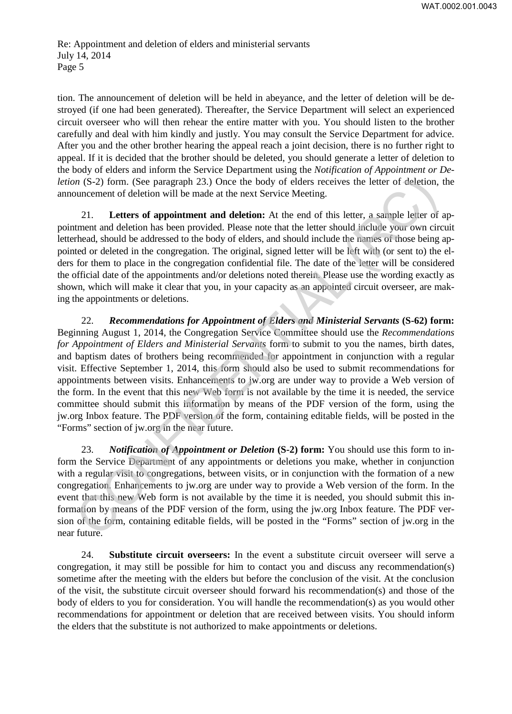tion. The announcement of deletion will be held in abeyance, and the letter of deletion will be destroyed (if one had been generated). Thereafter, the Service Department will select an experienced circuit overseer who will then rehear the entire matter with you. You should listen to the brother carefully and deal with him kindly and justly. You may consult the Service Department for advice. After you and the other brother hearing the appeal reach a joint decision, there is no further right to appeal. If it is decided that the brother should be deleted, you should generate a letter of deletion to the body of elders and inform the Service Department using the *Notification of Appointment or Deletion* (S-2) form. (See paragraph 23.) Once the body of elders receives the letter of deletion, the announcement of deletion will be made at the next Service Meeting.

21. **Letters of appointment and deletion:** At the end of this letter, a sample letter of appointment and deletion has been provided. Please note that the letter should include your own circuit letterhead, should be addressed to the body of elders, and should include the names of those being appointed or deleted in the congregation. The original, signed letter will be left with (or sent to) the elders for them to place in the congregation confidential file. The date of the letter will be considered the official date of the appointments and/or deletions noted therein. Please use the wording exactly as shown, which will make it clear that you, in your capacity as an appointed circuit overseer, are making the appointments or deletions.

22. *Recommendations for Appointment of Elders and Ministerial Servants* **(S-62) form:** Beginning August 1, 2014, the Congregation Service Committee should use the *Recommendations for Appointment of Elders and Ministerial Servants* form to submit to you the names, birth dates, and baptism dates of brothers being recommended for appointment in conjunction with a regular visit. Effective September 1, 2014, this form should also be used to submit recommendations for appointments between visits. Enhancements to jw.org are under way to provide a Web version of the form. In the event that this new Web form is not available by the time it is needed, the service committee should submit this information by means of the PDF version of the form, using the jw.org Inbox feature. The PDF version of the form, containing editable fields, will be posted in the "Forms" section of jw.org in the near future. *m* (S-2) form. (See paragraph 23.) Once the body of elders receives the letter of deletion,<br>ouncement of deletion will be made at the next Service Meeting.<br>21. Letters of appointment and deletion: At the end of this lett

23. *Notification of Appointment or Deletion* **(S-2) form:** You should use this form to inform the Service Department of any appointments or deletions you make, whether in conjunction with a regular visit to congregations, between visits, or in conjunction with the formation of a new congregation. Enhancements to jw.org are under way to provide a Web version of the form. In the event that this new Web form is not available by the time it is needed, you should submit this information by means of the PDF version of the form, using the jw.org Inbox feature. The PDF version of the form, containing editable fields, will be posted in the "Forms" section of jw.org in the near future.

24. **Substitute circuit overseers:** In the event a substitute circuit overseer will serve a congregation, it may still be possible for him to contact you and discuss any recommendation(s) sometime after the meeting with the elders but before the conclusion of the visit. At the conclusion of the visit, the substitute circuit overseer should forward his recommendation(s) and those of the body of elders to you for consideration. You will handle the recommendation(s) as you would other recommendations for appointment or deletion that are received between visits. You should inform the elders that the substitute is not authorized to make appointments or deletions.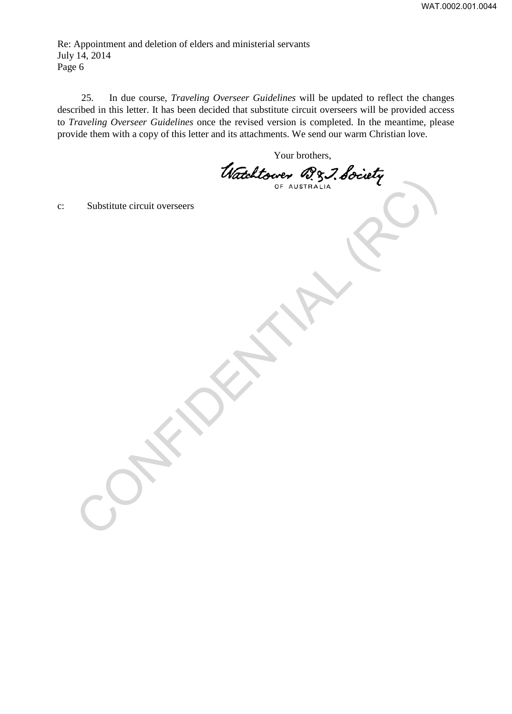25. In due course, *Traveling Overseer Guidelines* will be updated to reflect the changes described in this letter. It has been decided that substitute circuit overseers will be provided access to *Traveling Overseer Guidelines* once the revised version is completed. In the meantime, please provide them with a copy of this letter and its attachments. We send our warm Christian love.

Your brothers,<br>Watchtower 287, Society Substitute circuit oversees

c: Substitute circuit overseers